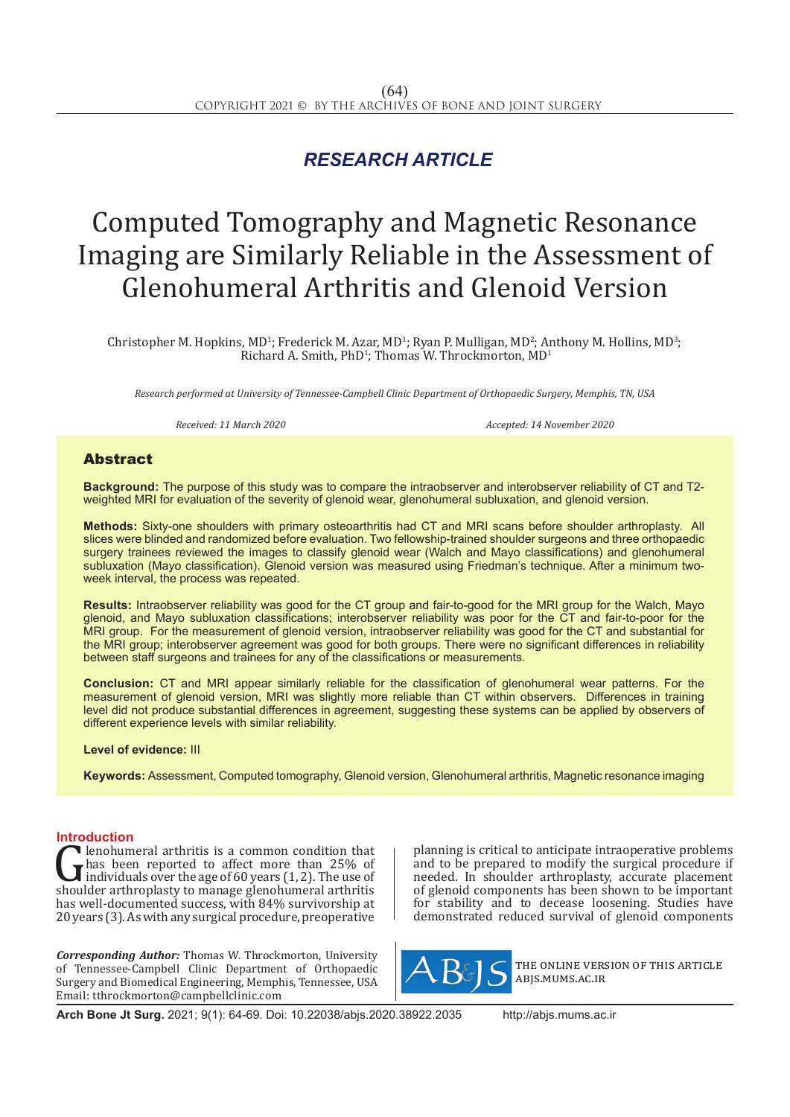## *RESEARCH ARTICLE*

# Computed Tomography and Magnetic Resonance Imaging are Similarly Reliable in the Assessment of Glenohumeral Arthritis and Glenoid Version

Christopher M. Hopkins, MD<sup>1</sup>; Frederick M. Azar, MD<sup>1</sup>; Ryan P. Mulligan, MD<sup>2</sup>; Anthony M. Hollins, MD<sup>3</sup>; Richard A. Smith,  $PhD<sup>1</sup>$ ; Thomas W. Throckmorton,  $MD<sup>1</sup>$ 

*Research performed at University of Tennessee-Campbell Clinic Department of Orthopaedic Surgery, Memphis, TN, USA*

*Received: 11 March 2020 Accepted: 14 November 2020*

### Abstract

**Background:** The purpose of this study was to compare the intraobserver and interobserver reliability of CT and T2 weighted MRI for evaluation of the severity of glenoid wear, glenohumeral subluxation, and glenoid version.

**Methods:** Sixty-one shoulders with primary osteoarthritis had CT and MRI scans before shoulder arthroplasty. All slices were blinded and randomized before evaluation. Two fellowship-trained shoulder surgeons and three orthopaedic surgery trainees reviewed the images to classify glenoid wear (Walch and Mayo classifications) and glenohumeral subluxation (Mayo classification). Glenoid version was measured using Friedman's technique. After a minimum twoweek interval, the process was repeated.

**Results:** Intraobserver reliability was good for the CT group and fair-to-good for the MRI group for the Walch, Mayo glenoid, and Mayo subluxation classifications; interobserver reliability was poor for the CT and fair-to-poor for the MRI group. For the measurement of glenoid version, intraobserver reliability was good for the CT and substantial for the MRI group; interobserver agreement was good for both groups. There were no significant differences in reliability between staff surgeons and trainees for any of the classifications or measurements.

**Conclusion:** CT and MRI appear similarly reliable for the classification of glenohumeral wear patterns. For the measurement of glenoid version, MRI was slightly more reliable than CT within observers. Differences in training level did not produce substantial differences in agreement, suggesting these systems can be applied by observers of different experience levels with similar reliability.

### **Level of evidence:** III

**Keywords:** Assessment, Computed tomography, Glenoid version, Glenohumeral arthritis, Magnetic resonance imaging

**Introduction**<br>**C** lenohumeral arthritis is a common condition that **C** lenohumeral arthritis is a common condition that<br>has been reported to affect more than 25% of<br>individuals over the age of 60 years (1, 2). The use of<br>shoulder arthroplasty to manage glenohumeral arthritis<br>has well-docu has been reported to affect more than 25% of individuals over the age of 60 years (1, 2). The use of shoulder arthroplasty to manage glenohumeral arthritis has well-documented success, with 84% survivorship at 20 years (3). As with any surgical procedure, preoperative

*Corresponding Author:* Thomas W. Throckmorton, University of Tennessee-Campbell Clinic Department of Orthopaedic Surgery and Biomedical Engineering, Memphis, Tennessee, USA Email: tthrockmorton@campbellclinic.com

planning is critical to anticipate intraoperative problems and to be prepared to modify the surgical procedure if needed. In shoulder arthroplasty, accurate placement of glenoid components has been shown to be important for stability and to decease loosening. Studies have demonstrated reduced survival of glenoid components



the online version of this article abjs.mums.ac.ir

**Arch Bone Jt Surg.** 2021; 9(1): 64-69. Doi: 10.22038/abjs.2020.38922.2035 http://abjs.mums.ac.ir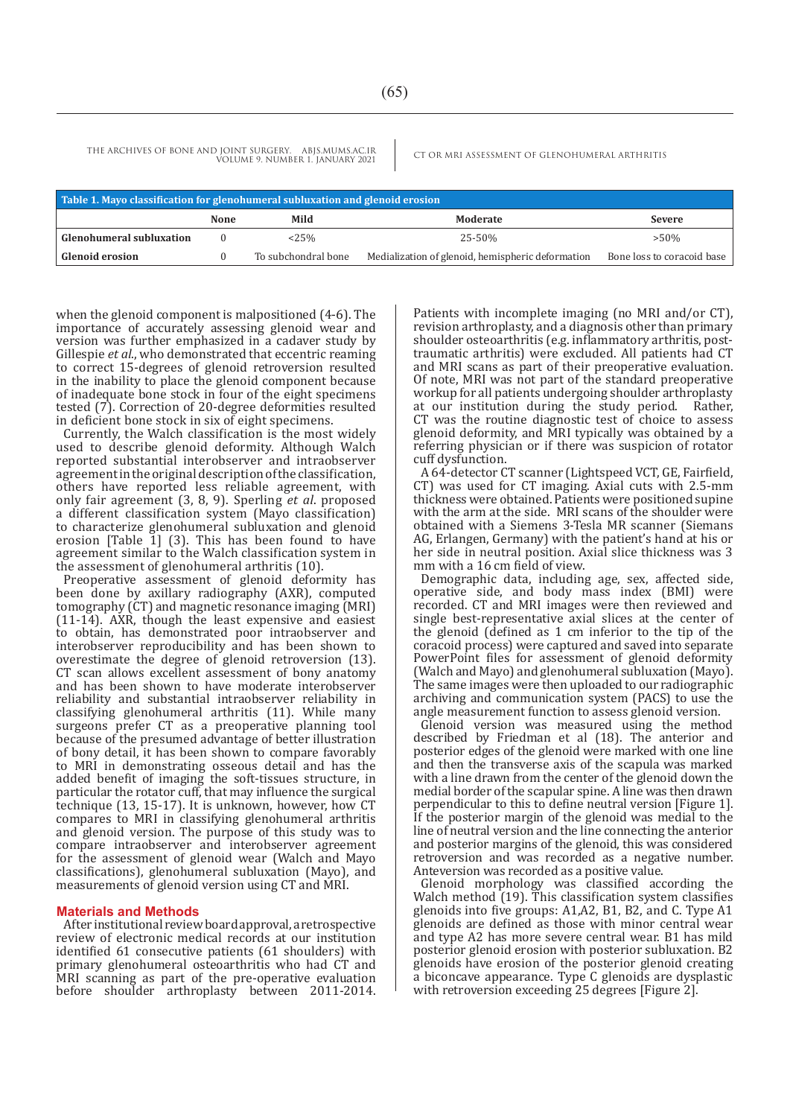THE ARCHIVES OF BONE AND JOINT SURGERY. ABJS.MUMS.AC.IR CT OR MRI ASSESSMENT OF GLENOHUMERAL ARTHRITIS VOLUME 9. NUMBER 1. JANUARY 2021

| Table 1. Mayo classification for glenohumeral subluxation and glenoid erosion |      |                     |                                                   |                            |
|-------------------------------------------------------------------------------|------|---------------------|---------------------------------------------------|----------------------------|
|                                                                               | None | Mild                | Moderate                                          | <b>Severe</b>              |
| <b>Glenohumeral subluxation</b>                                               |      | $25\%$              | 25-50%                                            | $> 50\%$                   |
| <b>Glenoid erosion</b>                                                        |      | To subchondral bone | Medialization of glenoid, hemispheric deformation | Bone loss to coracoid base |

when the glenoid component is malpositioned (4-6). The importance of accurately assessing glenoid wear and version was further emphasized in a cadaver study by Gillespie *et al*., who demonstrated that eccentric reaming to correct 15-degrees of glenoid retroversion resulted in the inability to place the glenoid component because of inadequate bone stock in four of the eight specimens tested (7). Correction of 20-degree deformities resulted in deficient bone stock in six of eight specimens.

Currently, the Walch classification is the most widely used to describe glenoid deformity. Although Walch reported substantial interobserver and intraobserver agreement in the original description of the classification, others have reported less reliable agreement, with only fair agreement (3, 8, 9). Sperling *et al*. proposed a different classification system (Mayo classification) to characterize glenohumeral subluxation and glenoid erosion [Table 1] (3). This has been found to have agreement similar to the Walch classification system in the assessment of glenohumeral arthritis (10).

Preoperative assessment of glenoid deformity has been done by axillary radiography (AXR), computed tomography (CT) and magnetic resonance imaging (MRI) (11-14). AXR, though the least expensive and easiest to obtain, has demonstrated poor intraobserver and interobserver reproducibility and has been shown to overestimate the degree of glenoid retroversion (13). CT scan allows excellent assessment of bony anatomy and has been shown to have moderate interobserver reliability and substantial intraobserver reliability in classifying glenohumeral arthritis (11). While many surgeons prefer CT as a preoperative planning tool because of the presumed advantage of better illustration of bony detail, it has been shown to compare favorably to MRI in demonstrating osseous detail and has the added benefit of imaging the soft-tissues structure, in particular the rotator cuff, that may influence the surgical technique (13, 15-17). It is unknown, however, how CT compares to MRI in classifying glenohumeral arthritis and glenoid version. The purpose of this study was to compare intraobserver and interobserver agreement for the assessment of glenoid wear (Walch and Mayo classifications), glenohumeral subluxation (Mayo), and measurements of glenoid version using CT and MRI.

### **Materials and Methods**

After institutional review board approval, a retrospective review of electronic medical records at our institution identified 61 consecutive patients (61 shoulders) with primary glenohumeral osteoarthritis who had CT and MRI scanning as part of the pre-operative evaluation before shoulder arthroplasty between 2011-2014. Patients with incomplete imaging (no MRI and/or CT), revision arthroplasty, and a diagnosis other than primary shoulder osteoarthritis (e.g. inflammatory arthritis, posttraumatic arthritis) were excluded. All patients had CT and MRI scans as part of their preoperative evaluation. Of note, MRI was not part of the standard preoperative workup for all patients undergoing shoulder arthroplasty at our institution during the study period. Rather, CT was the routine diagnostic test of choice to assess glenoid deformity, and MRI typically was obtained by a referring physician or if there was suspicion of rotator cuff dysfunction.

A 64-detector CT scanner (Lightspeed VCT, GE, Fairfield, CT) was used for CT imaging. Axial cuts with 2.5-mm thickness were obtained. Patients were positioned supine with the arm at the side. MRI scans of the shoulder were obtained with a Siemens 3-Tesla MR scanner (Siemans AG, Erlangen, Germany) with the patient's hand at his or her side in neutral position. Axial slice thickness was 3 mm with a 16 cm field of view.

Demographic data, including age, sex, affected side, operative side, and body mass index (BMI) were recorded. CT and MRI images were then reviewed and single best-representative axial slices at the center of the glenoid (defined as 1 cm inferior to the tip of the coracoid process) were captured and saved into separate PowerPoint files for assessment of glenoid deformity (Walch and Mayo) and glenohumeral subluxation (Mayo). The same images were then uploaded to our radiographic archiving and communication system (PACS) to use the angle measurement function to assess glenoid version.

Glenoid version was measured using the method described by Friedman et al (18). The anterior and posterior edges of the glenoid were marked with one line and then the transverse axis of the scapula was marked with a line drawn from the center of the glenoid down the medial border of the scapular spine. A line was then drawn perpendicular to this to define neutral version [Figure 1]. If the posterior margin of the glenoid was medial to the line of neutral version and the line connecting the anterior and posterior margins of the glenoid, this was considered retroversion and was recorded as a negative number. Anteversion was recorded as a positive value.

Glenoid morphology was classified according the Walch method (19). This classification system classifies glenoids into five groups: A1,A2, B1, B2, and C. Type A1 glenoids are defined as those with minor central wear and type A2 has more severe central wear. B1 has mild posterior glenoid erosion with posterior subluxation. B2 glenoids have erosion of the posterior glenoid creating a biconcave appearance. Type C glenoids are dysplastic with retroversion exceeding 25 degrees [Figure 2].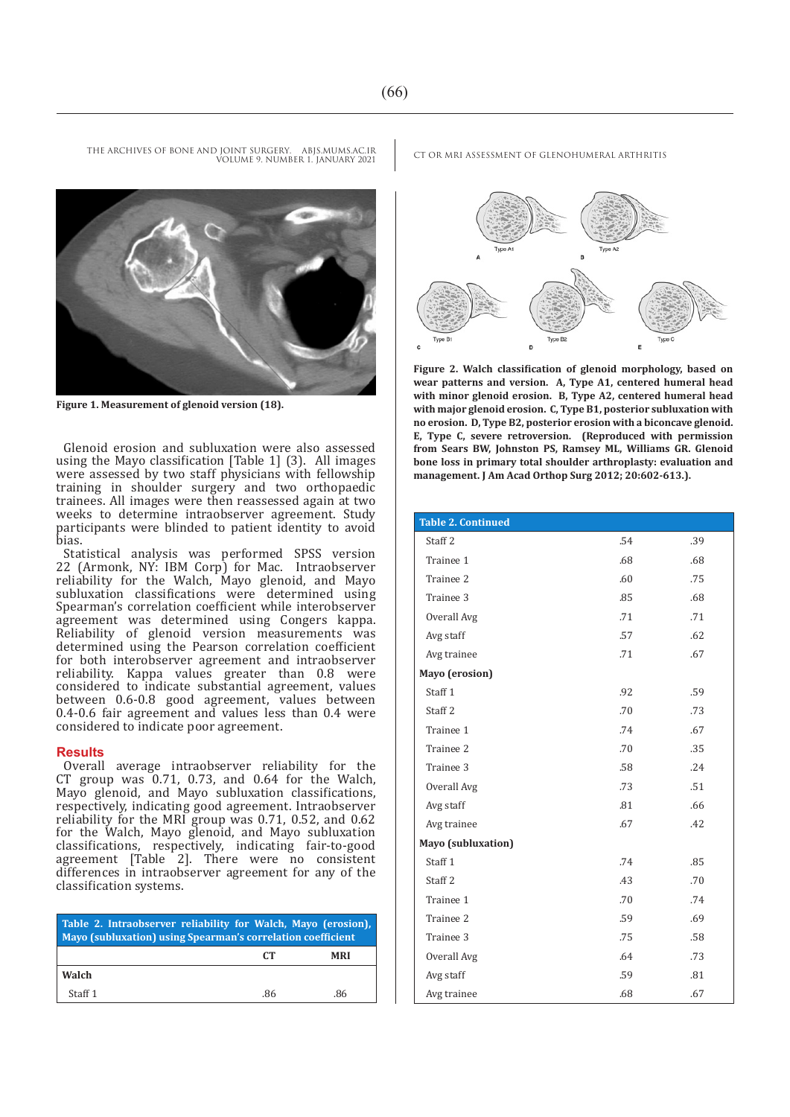

**Figure 1. Measurement of glenoid version (18).**

Glenoid erosion and subluxation were also assessed using the Mayo classification [Table 1] (3). All images were assessed by two staff physicians with fellowship training in shoulder surgery and two orthopaedic trainees. All images were then reassessed again at two weeks to determine intraobserver agreement. Study participants were blinded to patient identity to avoid bias.

Statistical analysis was performed SPSS version 22 (Armonk, NY: IBM Corp) for Mac. Intraobserver reliability for the Walch, Mayo glenoid, and Mayo subluxation classifications were determined using Spearman's correlation coefficient while interobserver agreement was determined using Congers kappa. Reliability of glenoid version measurements was determined using the Pearson correlation coefficient for both interobserver agreement and intraobserver reliability. Kappa values greater than 0.8 were considered to indicate substantial agreement, values between 0.6-0.8 good agreement, values between 0.4-0.6 fair agreement and values less than 0.4 were considered to indicate poor agreement.

#### **Results**

Overall average intraobserver reliability for the CT group was 0.71, 0.73, and 0.64 for the Walch, Mayo glenoid, and Mayo subluxation classifications, respectively, indicating good agreement. Intraobserver reliability for the MRI group was 0.71, 0.52, and 0.62 for the Walch, Mayo glenoid, and Mayo subluxation classifications, respectively, indicating fair-to-good agreement [Table 2]. There were no consistent differences in intraobserver agreement for any of the classification systems.

| Table 2. Intraobserver reliability for Walch, Mayo (erosion),<br><b>Mayo (subluxation) using Spearman's correlation coefficient</b> |     |            |
|-------------------------------------------------------------------------------------------------------------------------------------|-----|------------|
|                                                                                                                                     | CT. | <b>MRI</b> |
| Walch                                                                                                                               |     |            |
| Staff 1                                                                                                                             | .86 | .86        |

THE ARCHIVES OF BONE AND JOINT SURGERY. ABJS.MUMS.AC.IR CT OR MRI ASSESSMENT OF GLENOHUMERAL ARTHRITIS



**Figure 2. Walch classification of glenoid morphology, based on wear patterns and version. A, Type A1, centered humeral head with minor glenoid erosion. B, Type A2, centered humeral head with major glenoid erosion. C, Type B1, posterior subluxation with no erosion. D, Type B2, posterior erosion with a biconcave glenoid. E, Type C, severe retroversion. (Reproduced with permission from Sears BW, Johnston PS, Ramsey ML, Williams GR. Glenoid bone loss in primary total shoulder arthroplasty: evaluation and management. J Am Acad Orthop Surg 2012; 20:602-613.).**

| <b>Table 2. Continued</b> |     |     |
|---------------------------|-----|-----|
| Staff <sub>2</sub>        | .54 | .39 |
| Trainee 1                 | .68 | .68 |
| Trainee 2                 | .60 | .75 |
| Trainee 3                 | .85 | .68 |
| Overall Avg               | .71 | .71 |
| Avg staff                 | .57 | .62 |
| Avg trainee               | .71 | .67 |
| Mayo (erosion)            |     |     |
| Staff <sub>1</sub>        | .92 | .59 |
| Staff <sub>2</sub>        | .70 | .73 |
| Trainee 1                 | .74 | .67 |
| Trainee 2                 | .70 | .35 |
| Trainee 3                 | .58 | .24 |
| Overall Avg               | .73 | .51 |
| Avg staff                 | .81 | .66 |
| Avg trainee               | .67 | .42 |
| Mayo (subluxation)        |     |     |
| Staff <sub>1</sub>        | .74 | .85 |
| Staff <sub>2</sub>        | .43 | .70 |
| Trainee 1                 | .70 | .74 |
| Trainee 2                 | .59 | .69 |
| Trainee 3                 | .75 | .58 |
| Overall Avg               | .64 | .73 |
| Avg staff                 | .59 | .81 |
| Avg trainee               | .68 | .67 |

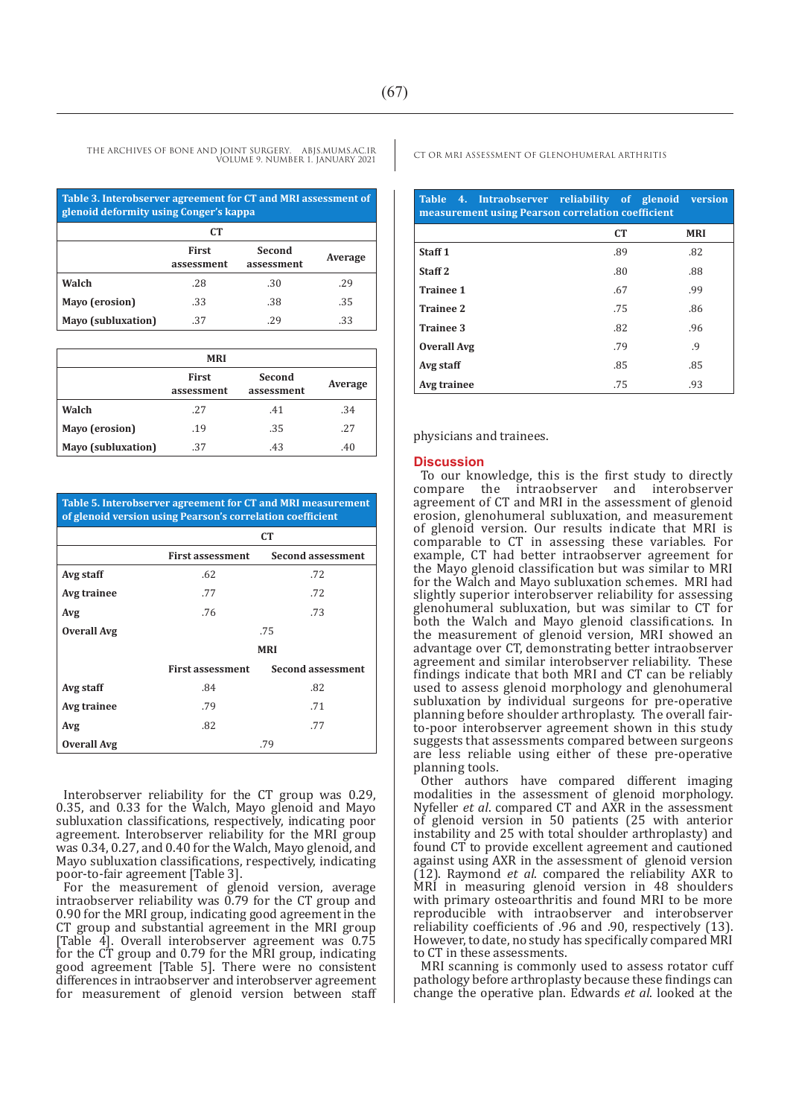THE ARCHIVES OF BONE AND JOINT SURGERY. ABJS.MUMS.AC.IR CT OR MRI ASSESSMENT OF GLENOHUMERAL ARTHRITIS VOLUME 9. NUMBER 1. JANUARY 2021

| Table 3. Interobserver agreement for CT and MRI assessment of<br>glenoid deformity using Conger's kappa |                            |                      |         |
|---------------------------------------------------------------------------------------------------------|----------------------------|----------------------|---------|
| CT.                                                                                                     |                            |                      |         |
|                                                                                                         | <b>First</b><br>assessment | Second<br>assessment | Average |
| Walch                                                                                                   | .28                        | .30                  | .29     |
| Mayo (erosion)                                                                                          | .33                        | .38                  | .35     |
| <b>Mayo</b> (subluxation)                                                                               | .37                        | .29                  | .33     |

| <b>MRI</b>                |                            |                      |         |
|---------------------------|----------------------------|----------------------|---------|
|                           | <b>First</b><br>assessment | Second<br>assessment | Average |
| Walch                     | .27                        | .41                  | .34     |
| Mayo (erosion)            | .19                        | .35                  | .27     |
| <b>Mayo</b> (subluxation) | .37                        | .43                  | .40     |

**Table 5. Interobserver agreement for CT and MRI measurement of glenoid version using Pearson's correlation coefficient**

|                    | <b>CT</b>               |                          |
|--------------------|-------------------------|--------------------------|
|                    | <b>First assessment</b> | <b>Second assessment</b> |
| Avg staff          | .62                     | .72                      |
| Avg trainee        | .77                     | .72                      |
| Avg                | .76                     | .73                      |
| <b>Overall Avg</b> | .75                     |                          |
|                    | <b>MRI</b>              |                          |
|                    | <b>First assessment</b> | <b>Second assessment</b> |
| Avg staff          | .84                     | .82                      |
| Avg trainee        | .79                     | .71                      |
| Avg                | .82                     | .77                      |
| <b>Overall Avg</b> |                         | .79                      |

Interobserver reliability for the CT group was 0.29, 0.35, and 0.33 for the Walch, Mayo glenoid and Mayo subluxation classifications, respectively, indicating poor agreement. Interobserver reliability for the MRI group was 0.34, 0.27, and 0.40 for the Walch, Mayo glenoid, and Mayo subluxation classifications, respectively, indicating poor-to-fair agreement [Table 3].

For the measurement of glenoid version, average intraobserver reliability was  $0.79$  for the CT group and 0.90 for the MRI group, indicating good agreement in the CT group and substantial agreement in the MRI group [Table 4]. Overall interobserver agreement was 0.75 for the CT group and 0.79 for the MRI group, indicating good agreement [Table 5]. There were no consistent differences in intraobserver and interobserver agreement for measurement of glenoid version between staff

| Table 4. Intraobserver reliability of glenoid version<br>measurement using Pearson correlation coefficient |     |            |  |
|------------------------------------------------------------------------------------------------------------|-----|------------|--|
|                                                                                                            | CT  | <b>MRI</b> |  |
| Staff <sub>1</sub>                                                                                         | .89 | .82        |  |
| Staff <sub>2</sub>                                                                                         | .80 | .88        |  |
| <b>Trainee 1</b>                                                                                           | .67 | .99        |  |
| <b>Trainee 2</b>                                                                                           | .75 | .86        |  |
| Trainee 3                                                                                                  | .82 | .96        |  |
| <b>Overall Avg</b>                                                                                         | .79 | .9         |  |
| Avg staff                                                                                                  | .85 | .85        |  |
| Avg trainee                                                                                                | .75 | .93        |  |

physicians and trainees.

### **Discussion**

To our knowledge, this is the first study to directly compare the intraobserver and interobserver agreement of CT and MRI in the assessment of glenoid erosion, glenohumeral subluxation, and measurement of glenoid version. Our results indicate that MRI is comparable to CT in assessing these variables. For example, CT had better intraobserver agreement for the Mayo glenoid classification but was similar to MRI for the Walch and Mayo subluxation schemes. MRI had slightly superior interobserver reliability for assessing glenohumeral subluxation, but was similar to CT for both the Walch and Mayo glenoid classifications. In the measurement of glenoid version, MRI showed an advantage over CT, demonstrating better intraobserver agreement and similar interobserver reliability. These findings indicate that both MRI and CT can be reliably used to assess glenoid morphology and glenohumeral subluxation by individual surgeons for pre-operative planning before shoulder arthroplasty. The overall fairto-poor interobserver agreement shown in this study suggests that assessments compared between surgeons are less reliable using either of these pre-operative planning tools.

Other authors have compared different imaging modalities in the assessment of glenoid morphology. Nyfeller *et al*. compared CT and AXR in the assessment of glenoid version in 50 patients (25 with anterior instability and 25 with total shoulder arthroplasty) and found CT to provide excellent agreement and cautioned against using AXR in the assessment of glenoid version (12). Raymond *et al*. compared the reliability AXR to MRI in measuring glenoid version in 48 shoulders with primary osteoarthritis and found MRI to be more reproducible with intraobserver and interobserver reliability coefficients of .96 and .90, respectively (13). However, to date, no study has specifically compared MRI to CT in these assessments.

MRI scanning is commonly used to assess rotator cuff pathology before arthroplasty because these findings can change the operative plan. Edwards *et al*. looked at the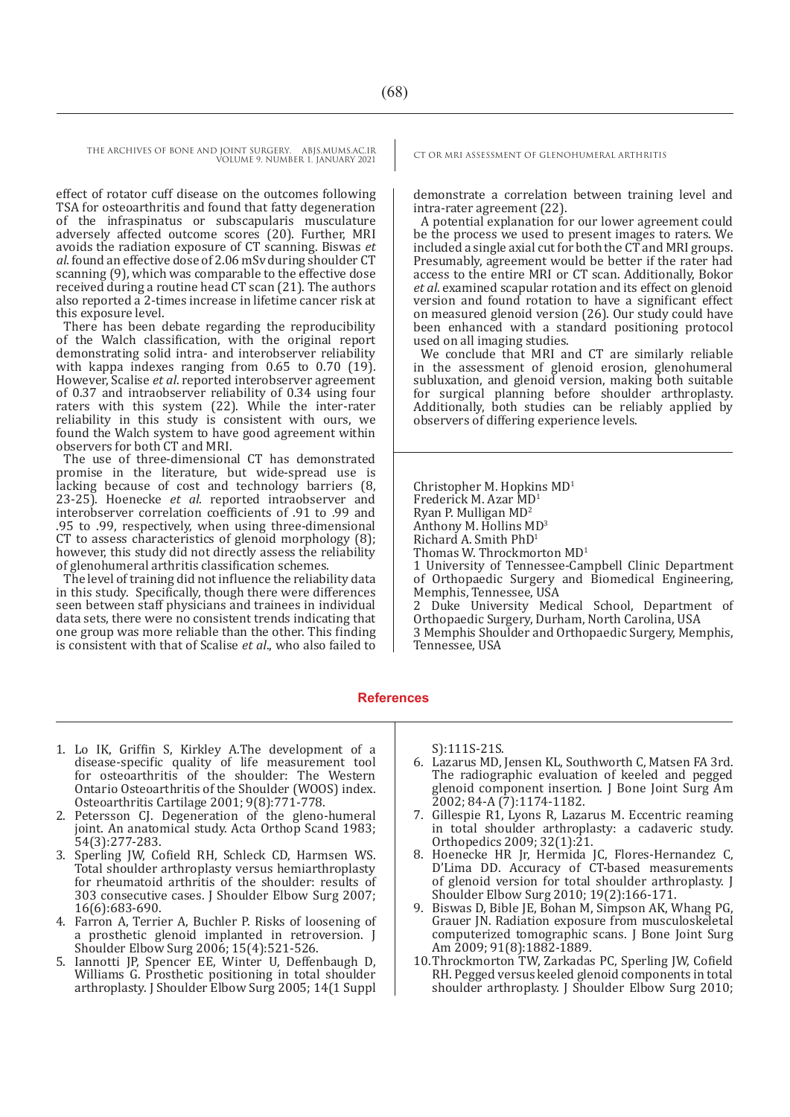THE ARCHIVES OF BONE AND JOINT SURGERY. ABJS.MUMS.AC.IR CT OR MRI ASSESSMENT OF GLENOHUMERAL ARTHRITIS VOLUME 9. NUMBER 1. JANUARY 2021

effect of rotator cuff disease on the outcomes following TSA for osteoarthritis and found that fatty degeneration of the infraspinatus or subscapularis musculature adversely affected outcome scores (20). Further, MRI avoids the radiation exposure of CT scanning. Biswas *et al*. found an effective dose of 2.06 mSv during shoulder CT scanning (9), which was comparable to the effective dose received during a routine head CT scan (21). The authors also reported a 2-times increase in lifetime cancer risk at this exposure level.

There has been debate regarding the reproducibility of the Walch classification, with the original report demonstrating solid intra- and interobserver reliability with kappa indexes ranging from 0.65 to 0.70 (19). However, Scalise *et al*. reported interobserver agreement of 0.37 and intraobserver reliability of 0.34 using four raters with this system (22). While the inter-rater reliability in this study is consistent with ours, we found the Walch system to have good agreement within observers for both CT and MRI.

The use of three-dimensional CT has demonstrated promise in the literature, but wide-spread use is lacking because of cost and technology barriers (8, 23-25). Hoenecke *et al*. reported intraobserver and interobserver correlation coefficients of .91 to .99 and .95 to .99, respectively, when using three-dimensional CT to assess characteristics of glenoid morphology (8); however, this study did not directly assess the reliability of glenohumeral arthritis classification schemes.

The level of training did not influence the reliability data in this study. Specifically, though there were differences seen between staff physicians and trainees in individual data sets, there were no consistent trends indicating that one group was more reliable than the other. This finding is consistent with that of Scalise *et al*., who also failed to

demonstrate a correlation between training level and intra-rater agreement (22).

A potential explanation for our lower agreement could be the process we used to present images to raters. We included a single axial cut for both the CT and MRI groups. Presumably, agreement would be better if the rater had access to the entire MRI or CT scan. Additionally, Bokor *et al*. examined scapular rotation and its effect on glenoid version and found rotation to have a significant effect on measured glenoid version (26). Our study could have been enhanced with a standard positioning protocol used on all imaging studies.

We conclude that MRI and CT are similarly reliable in the assessment of glenoid erosion, glenohumeral subluxation, and glenoid version, making both suitable for surgical planning before shoulder arthroplasty. Additionally, both studies can be reliably applied by observers of differing experience levels.

Christopher M. Hopkins MD1 Frederick M. Azar MD1 Ryan P. Mulligan MD<sup>2</sup> Anthony M. Hollins MD<sup>3</sup> Richard A. Smith PhD1 Thomas W. Throckmorton MD<sup>1</sup> 1 University of Tennessee-Campbell Clinic Department of Orthopaedic Surgery and Biomedical Engineering, Memphis, Tennessee, USA 2 Duke University Medical School, Department of Orthopaedic Surgery, Durham, North Carolina, USA 3 Memphis Shoulder and Orthopaedic Surgery, Memphis, Tennessee, USA

#### **References**

- 1. Lo IK, Griffin S, Kirkley A.The development of a disease-specific quality of life measurement tool for osteoarthritis of the shoulder: The Western Ontario Osteoarthritis of the Shoulder (WOOS) index. Osteoarthritis Cartilage 2001; 9(8):771-778.
- 2. Petersson CJ. Degeneration of the gleno-humeral joint. An anatomical study. Acta Orthop Scand 1983; 54(3):277-283.
- 3. Sperling JW, Cofield RH, Schleck CD, Harmsen WS. Total shoulder arthroplasty versus hemiarthroplasty for rheumatoid arthritis of the shoulder: results of 303 consecutive cases. J Shoulder Elbow Surg 2007; 16(6):683-690.
- 4. Farron A, Terrier A, Buchler P. Risks of loosening of a prosthetic glenoid implanted in retroversion. J Shoulder Elbow Surg 2006; 15(4):521-526.
- 5. Iannotti JP, Spencer EE, Winter U, Deffenbaugh D, Williams G. Prosthetic positioning in total shoulder arthroplasty. J Shoulder Elbow Surg 2005; 14(1 Suppl

S):111S-21S.

- 6. Lazarus MD, Jensen KL, Southworth C, Matsen FA 3rd. The radiographic evaluation of keeled and pegged glenoid component insertion. J Bone Joint Surg Am 2002; 84-A (7):1174-1182.
- 7. Gillespie R1, Lyons R, Lazarus M. Eccentric reaming in total shoulder arthroplasty: a cadaveric study. Orthopedics 2009; 32(1):21.
- 8. Hoenecke HR Jr, Hermida JC, Flores-Hernandez C, D'Lima DD. Accuracy of CT-based measurements of glenoid version for total shoulder arthroplasty. J Shoulder Elbow Surg 2010; 19(2):166-171.
- 9. Biswas D, Bible JE, Bohan M, Simpson AK, Whang PG, Grauer JN. Radiation exposure from musculoskeletal computerized tomographic scans. J Bone Joint Surg Am 2009; 91(8):1882-1889.
- 10.Throckmorton TW, Zarkadas PC, Sperling JW, Cofield RH. Pegged versus keeled glenoid components in total shoulder arthroplasty. J Shoulder Elbow Surg 2010;